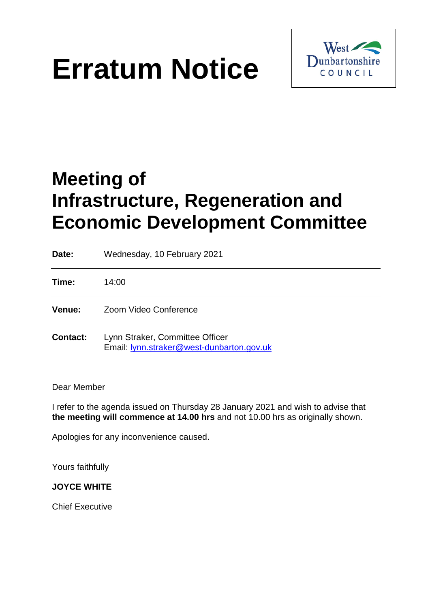# **Erratum Notice**



## **Meeting of Infrastructure, Regeneration and Economic Development Committee**

| Date:           | Wednesday, 10 February 2021                                                  |
|-----------------|------------------------------------------------------------------------------|
| Time:           | 14:00                                                                        |
| <b>Venue:</b>   | Zoom Video Conference                                                        |
| <b>Contact:</b> | Lynn Straker, Committee Officer<br>Email: lynn.straker@west-dunbarton.gov.uk |

#### Dear Member

I refer to the agenda issued on Thursday 28 January 2021 and wish to advise that **the meeting will commence at 14.00 hrs** and not 10.00 hrs as originally shown.

Apologies for any inconvenience caused.

Yours faithfully

#### **JOYCE WHITE**

Chief Executive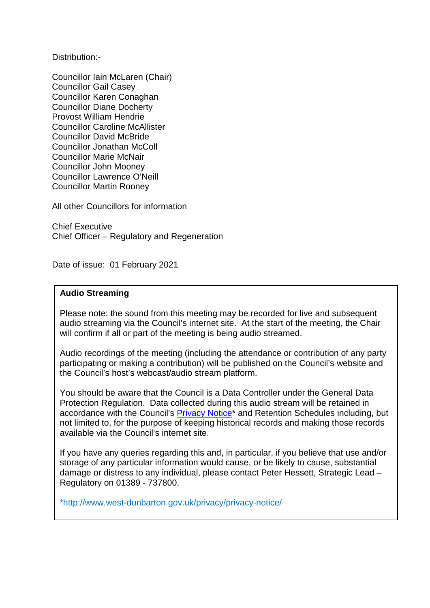Distribution:-

Councillor Iain McLaren (Chair) Councillor Gail Casey Councillor Karen Conaghan Councillor Diane Docherty Provost William Hendrie Councillor Caroline McAllister Councillor David McBride Councillor Jonathan McColl Councillor Marie McNair Councillor John Mooney Councillor Lawrence O'Neill Councillor Martin Rooney

All other Councillors for information

Chief Executive Chief Officer – Regulatory and Regeneration

Date of issue: 01 February 2021

#### **Audio Streaming**

Please note: the sound from this meeting may be recorded for live and subsequent audio streaming via the Council's internet site. At the start of the meeting, the Chair will confirm if all or part of the meeting is being audio streamed.

Audio recordings of the meeting (including the attendance or contribution of any party participating or making a contribution) will be published on the Council's website and the Council's host's webcast/audio stream platform.

You should be aware that the Council is a Data Controller under the General Data Protection Regulation. Data collected during this audio stream will be retained in accordance with the Council's **Privacy Notice**<sup>\*</sup> and Retention Schedules including, but not limited to, for the purpose of keeping historical records and making those records available via the Council's internet site.

If you have any queries regarding this and, in particular, if you believe that use and/or storage of any particular information would cause, or be likely to cause, substantial damage or distress to any individual, please contact Peter Hessett, Strategic Lead – Regulatory on 01389 - 737800.

\*http://www.west-dunbarton.gov.uk/privacy/privacy-notice/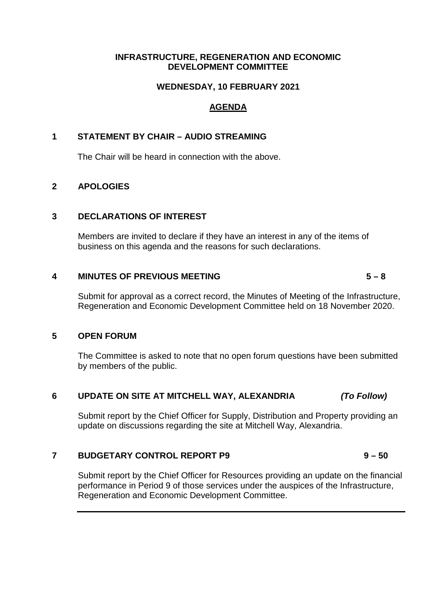#### **INFRASTRUCTURE, REGENERATION AND ECONOMIC DEVELOPMENT COMMITTEE**

#### **WEDNESDAY, 10 FEBRUARY 2021**

### **AGENDA**

#### **1 STATEMENT BY CHAIR – AUDIO STREAMING**

The Chair will be heard in connection with the above.

#### **2 APOLOGIES**

#### **3 DECLARATIONS OF INTEREST**

Members are invited to declare if they have an interest in any of the items of business on this agenda and the reasons for such declarations.

#### **4 MINUTES OF PREVIOUS MEETING 5 – 8**

Submit for approval as a correct record, the Minutes of Meeting of the Infrastructure, Regeneration and Economic Development Committee held on 18 November 2020.

#### **5 OPEN FORUM**

The Committee is asked to note that no open forum questions have been submitted by members of the public.

#### **6 UPDATE ON SITE AT MITCHELL WAY, ALEXANDRIA** *(To Follow)*

Submit report by the Chief Officer for Supply, Distribution and Property providing an update on discussions regarding the site at Mitchell Way, Alexandria.

#### **7 BUDGETARY CONTROL REPORT P9** 9-50

Submit report by the Chief Officer for Resources providing an update on the financial performance in Period 9 of those services under the auspices of the Infrastructure, Regeneration and Economic Development Committee.